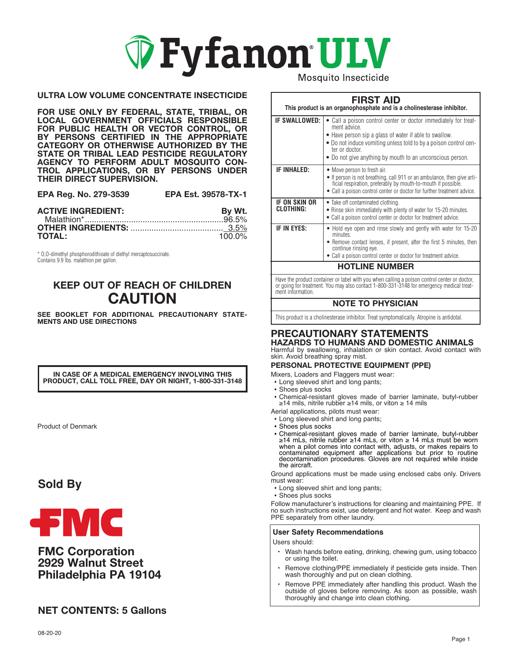

### **ULTRA LOW VOLUME CONCENTRATE INSECTICIDE**

**FOR USE ONLY BY FEDERAL, STATE, TRIBAL, OR LOCAL GOVERNMENT OFFICIALS RESPONSIBLE FOR PUBLIC HEALTH OR VECTOR CONTROL, OR BY PERSONS CERTIFIED IN THE APPROPRIATE CATEGORY OR OTHERWISE AUTHORIZED BY THE STATE OR TRIBAL LEAD PESTICIDE REGULATORY AGENCY TO PERFORM ADULT MOSQUITO CON-TROL APPLICATIONS, OR BY PERSONS UNDER THEIR DIRECT SUPERVISION.**

| EPA Reg. No. 279-3539 | <b>EPA Est. 39578-TX-1</b> |
|-----------------------|----------------------------|
|-----------------------|----------------------------|

| <b>ACTIVE INGREDIENT:</b> | By Wt.    |
|---------------------------|-----------|
|                           |           |
|                           |           |
| <b>TOTAL:</b>             | $100.0\%$ |

\* O,O-dimethyl phosphorodithioate of diethyl mercaptosuccinate. Contains 9.9 lbs. malathion per gallon.

## **KEEP OUT OF REACH OF CHILDREN CAUTION**

**SEE BOOKLET FOR ADDITIONAL PRECAUTIONARY STATE-MENTS AND USE DIRECTIONS**

**IN CASE OF A MEDICAL EMERGENCY INVOLVING THIS PRODUCT, CALL TOLL FREE, DAY OR NIGHT, 1-800-331-3148**

Product of Denmark

## **Sold By**



## **FMC Corporation 2929 Walnut Street Philadelphia PA 19104**

## **NET CONTENTS: 5 Gallons**

Mosquito Insecticide

## **FIRST AID**

| This product is an organophosphate and is a cholinesterase inhibitor. |                                                                                                                                                                                                                                                                                              |  |
|-----------------------------------------------------------------------|----------------------------------------------------------------------------------------------------------------------------------------------------------------------------------------------------------------------------------------------------------------------------------------------|--|
| IF SWALLOWED:                                                         | • Call a poison control center or doctor immediately for treat-<br>ment advice.<br>• Have person sip a glass of water if able to swallow.<br>• Do not induce vomiting unless told to by a poison control cen-<br>ter or doctor.<br>• Do not give anything by mouth to an unconscious person. |  |
| <b>IF INHALED:</b>                                                    | • Move person to fresh air.<br>• If person is not breathing, call 911 or an ambulance, then give arti-<br>ficial respiration, preferably by mouth-to-mouth if possible.<br>• Call a poison control center or doctor for further treatment advice.                                            |  |
| IF ON SKIN OR<br>CLOTHING:                                            | • Take off contaminated clothing.<br>. Rinse skin immediately with plenty of water for 15-20 minutes.<br>• Call a poison control center or doctor for treatment advice.                                                                                                                      |  |
| IF IN EYES:                                                           | • Hold eye open and rinse slowly and gently with water for 15-20<br>minutes.<br>• Remove contact lenses, if present, after the first 5 minutes, then<br>continue rinsing eye.<br>• Call a poison control center or doctor for treatment advice.                                              |  |
| <b>HOTLINE NUMBER</b>                                                 |                                                                                                                                                                                                                                                                                              |  |

Have the product container or label with you when calling a poison control center or doctor, or going for treatment. You may also contact 1-800-331-3148 for emergency medical treatment information.

### **NOTE TO PHYSICIAN**

This product is a cholinesterase inhibitor. Treat symptomatically. Atropine is antidotal.

### **PRECAUTIONARY STATEMENTS HAZARDS TO HUMANS AND DOMESTIC ANIMALS**

Harmful by swallowing, inhalation or skin contact. Avoid contact with skin. Avoid breathing spray mist.

### **PERSONAL PROTECTIVE EQUIPMENT (PPE)**

Mixers, Loaders and Flaggers must wear:

- Long sleeved shirt and long pants;
- Shoes plus socks
- Chemical-resistant gloves made of barrier laminate, butyl-rubber ≥14 mils, nitrile rubber ≥14 mils, or viton ≥ 14 mils
- Aerial applications, pilots must wear:
- Long sleeved shirt and long pants;
- 
- Shoes plus socks<br>• Chemical-resistant gloves made of barrier laminate, butyl-rubber<br> $\geq$ 14 mLs, nitrile rubber  $\geq$ 14 mLs, or viton  $\geq$  14 mLs must be worn when a pilot comes into contact with, adjusts, or makes repairs to contaminated equipment after applications but prior to routine decontamination procedures. Gloves are not required while inside the aircraft.

Ground applications must be made using enclosed cabs only. Drivers must wear:

- Long sleeved shirt and long pants;
- Shoes plus socks

Follow manufacturer's instructions for cleaning and maintaining PPE. If no such instructions exist, use detergent and hot water. Keep and wash PPE separately from other laundry.

### **User Safety Recommendations**

Users should:

- Wash hands before eating, drinking, chewing gum, using tobacco or using the toilet.
- Remove clothing/PPE immediately if pesticide gets inside. Then wash thoroughly and put on clean clothing.
- Remove PPE immediately after handling this product. Wash the outside of gloves before removing. As soon as possible, wash thoroughly and change into clean clothing.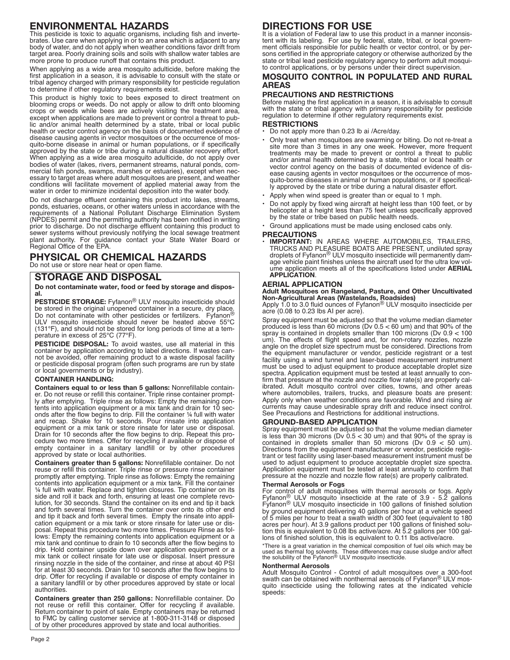## **ENVIRONMENTAL HAZARDS**

This pesticide is toxic to aquatic organisms, including fish and invertebrates. Use care when applying in or to an area which is adjacent to any body of water, and do not apply when weather conditions favor drift from target area. Poorly draining soils and soils with shallow water tables are more prone to produce runoff that contains this product.

When applying as a wide area mosquito adulticide, before making the first application in a season, it is advisable to consult with the state or tribal agency charged with primary responsibility for pesticide regulation to determine if other regulatory requirements exist.

This product is highly toxic to bees exposed to direct treatment on blooming crops or weeds. Do not apply or allow to drift onto blooming crops or weeds while bees are actively visiting the treatment area, except when applications are made to prevent or control a threat to public and/or animal health determined by a state, tribal or local public health or vector control agency on the basis of documented evidence of disease causing agents in vector mosquitoes or the occurrence of mosquito-borne disease in animal or human populations, or if specifically approved by the state or tribe during a natural disaster recovery effort. When applying as a wide area mosquito adulticide, do not apply over bodies of water (lakes, rivers, permanent streams, natural ponds, commercial fish ponds, swamps, marshes or estuaries), except when necessary to target areas where adult mosquitoes are present, and weather conditions will facilitate movement of applied material away from the water in order to minimize incidental deposition into the water body.

Do not discharge effluent containing this product into lakes, streams, ponds, estuaries, oceans, or other waters unless in accordance with the requirements of a National Pollutant Discharge Elimination System (NPDES) permit and the permitting authority has been notified in writing prior to discharge. Do not discharge effluent containing this product to sewer systems without previously notifying the local sewage treatment plant authority. For guidance contact your State Water Board or Regional Office of the EPA.

## **PHYSICAL OR CHEMICAL HAZARDS**

Do not use or store near heat or open flame.

## **STORAGE AND DISPOSAL**

#### **Do not contaminate water, food or feed by storage and disposal.**

**PESTICIDE STORAGE:** Fyfanon® ULV mosquito insecticide should be stored in the original unopened container in a secure, dry place. Do not contaminate with other pesticides or fertilizers. Fyfanon® ULV mosquito insecticide should never be heated above 55°C (131°F), and should not be stored for long periods of time at a temperature in excess of 25°C (77°F).

**PESTICIDE DISPOSAL:** To avoid wastes, use all material in this container by application according to label directions. If wastes cannot be avoided, offer remaining product to a waste disposal facility or pesticide disposal program (often such programs are run by state or local governments or by industry).

### **CONTAINER HANDLING:**

**Containers equal to or less than 5 gallons:** Nonrefillable container. Do not reuse or refill this container. Triple rinse container promptly after emptying. Triple rinse as follows: Empty the remaining contents into application equipment or a mix tank and drain for 10 seconds after the flow begins to drip. Fill the container ¼ full with water and recap. Shake for 10 seconds. Pour rinsate into application equipment or a mix tank or store rinsate for later use or disposal. Drain for 10 seconds after the flow begins to drip. Repeat this procedure two more times. Offer for recycling if available or dispose of empty container in a sanitary landfill or by other procedures approved by state or local authorities.

**Containers greater than 5 gallons:** Nonrefillable container. Do not reuse or refill this container. Triple rinse or pressure rinse container promptly after emptying. Triple rinse as follows: Empty the remaining contents into application equipment or a mix tank. Fill the container ¼ full with water. Replace and tighten closures. Tip container on its side and roll it back and forth, ensuring at least one complete revolution, for 30 seconds. Stand the container on its end and tip it back and forth several times. Turn the container over onto its other end and tip it back and forth several times. Empty the rinsate into application equipment or a mix tank or store rinsate for later use or disposal. Repeat this procedure two more times. Pressure Rinse as follows: Empty the remaining contents into application equipment or a mix tank and continue to drain fo 10 seconds after the flow begins to drip. Hold container upside down over application equipment or a mix tank or collect rinsate for late use or disposal. Insert pressure rinsing nozzle in the side of the container, and rinse at about 40 PSI for at least 30 seconds. Drain for 10 seconds after the flow begins to drip. Offer for recycling if available or dispose of empty container in a sanitary landfill or by other procedures approved by state or local authorities.

**Containers greater than 250 gallons:** Nonrefillable container. Do not reuse or refill this container. Offer for recycling if available. Return container to point of sale. Empty containers may be returned to FMC by calling customer service at 1-800-311-3148 or disposed of by other procedures approved by state and local authorities.

## **DIRECTIONS FOR USE**

It is a violation of Federal law to use this product in a manner inconsistent with its labeling. For use by federal, state, tribal, or local government officials responsible for public health or vector control, or by persons certified in the appropriate category or otherwise authorized by the state or tribal lead pesticide regulatory agency to perform adult mosquito control applications, or by persons under their direct supervision.

### **MOSQUITO CONTROL IN POPULATED AND RURAL AREAS**

### **PRECAUTIONS AND RESTRICTIONS**

Before making the first application in a season, it is advisable to consult with the state or tribal agency with primary responsibility for pesticide regulation to determine if other regulatory requirements exist.

### **RESTRICTIONS**

- Do not apply more than 0.23 lb ai /Acre/day.
- Only treat when mosquitoes are swarming or biting. Do not re-treat a site more than 3 times in any one week. However, more frequent treatments may be made to prevent or control a threat to public and/or animal health determined by a state, tribal or local health or vector control agency on the basis of documented evidence of disease causing agents in vector mosquitoes or the occurrence of mosquito-borne diseases in animal or human populations, or if specifically approved by the state or tribe during a natural disaster effort.
- Apply when wind speed is greater than or equal to 1 mph.
- Do not apply by fixed wing aircraft at height less than 100 feet, or by helicopter at a height less than 75 feet unless specifically approved by the state or tribe based on public health needs.
- Ground applications must be made using enclosed cabs only.

#### **PRECAUTIONS**

• **IMPORTANT:** lN AREAS WHERE AUTOMOBILES, TRAILERS, TRUCKS AND PLEASURE BOATS ARE PRESENT, undiluted spray droplets of Fyfanon® ULV mosquito insecticide will permanently damage vehicle paint finishes unless the aircraft used for the ultra low volume application meets all of the specifications listed under **AERIAL APPLICATION**.

### **AERIAL APPLICATION**

# **Adult Mosquitoes on Rangeland, Pasture, and Other Uncultivated**

**Non-Agricultural Areas (Wastelands, Roadsides)** Apply 1.0 to 3.0 fluid ounces of Fyfanon® ULV mosquito insecticide per acre (0.08 to 0.23 lbs AI per acre).

Spray equipment must be adjusted so that the volume median diameter produced is less than 60 microns (Dv 0.5 < 60 um) and that 90% of the spray is contained in droplets smaller than 100 microns (Dv 0.9 < 100 um). The effects of flight speed and, for non-rotary nozzles, nozzle angle on the droplet size spectrum must be considered. Directions from the equipment manufacturer or vendor, pesticide registrant or a test facility using a wind tunnel and laser-based measurement instrument must be used to adjust equipment to produce acceptable droplet size spectra. Application equipment must be tested at least annually to confirm that pressure at the nozzle and nozzle flow rate(s) are properly calibrated. Adult mosquito control over cities, towns, and other areas where automobiles, trailers, trucks, and pleasure boats are present: Apply only when weather conditions are favorable. Wind and rising air currents may cause undesirable spray drift and reduce insect control. See Precautions and Restrictions for additional instructions.

### **GROUND-BASED APPLICATION**

Spray equipment must be adjusted so that the volume median diameter is less than 30 microns (Dv 0.5 < 30 um) and that 90% of the spray is contained in droplets smaller than 50 microns (Dv 0.9 < 50 um). Directions from the equipment manufacturer or vendor, pesticide registrant or test facility using laser-based measurement instrument must be used to adjust equipment to produce acceptable droplet size spectra. Application equipment must be tested at least annually to confirm that pressure at the nozzle and nozzle flow rate(s) are properly calibrated.

#### **Thermal Aerosols or Fogs**

For control of adult mosquitoes with thermal aerosols or fogs. Apply<br>Fyfanon® ULV mosquito insecticide at the rate of 3.9 - 5.2 gallons<br>Fyfanon® ULV mosquito insecticide in 100 gallons of finished solution by ground equipment delivering 40 gallons per hour at a vehicle speed of 5 miles per hour to treat a swath width of 300 feet (equivalent to 180 acres per hour). At 3.9 gallons product per 100 gallons of finished solution this is equivalent to 0.08 lbs active/acre. At 5.2 gallons per 100 gallons of finished solution, this is equivalent to 0.11 lbs active/acre.

\*There is a great variation in the chemical composition of fuel oils which may be<br>used as thermal fog solvents. These differences may cause sludge and/or affect<br>the solubility of the Fyfanon® ULV mosquito insecticide.

#### **Nonthermal Aerosols**

Adult Mosquito Control - Control of adult mosquitoes over a 300-foot swath can be obtained with nonthermal aerosols of Fyfanon® ULV mosquito insecticide using the following rates at the indicated vehicle speeds: